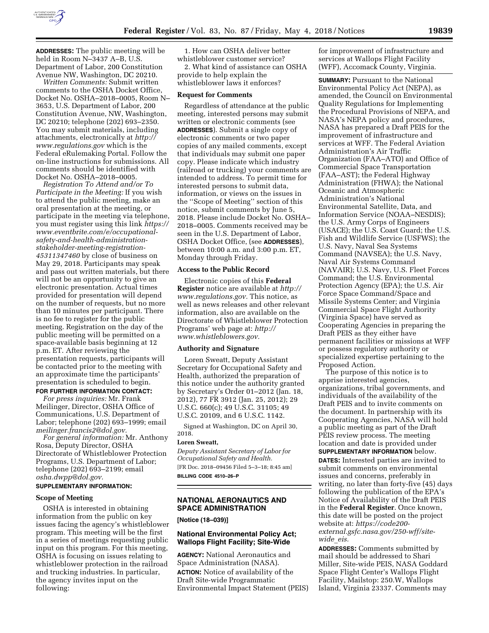

**ADDRESSES:** The public meeting will be held in Room N–3437 A–B, U.S. Department of Labor, 200 Constitution Avenue NW, Washington, DC 20210.

*Written Comments:* Submit written comments to the OSHA Docket Office, Docket No. OSHA–2018–0005, Room N– 3653, U.S. Department of Labor, 200 Constitution Avenue, NW, Washington, DC 20210; telephone (202) 693–2350. You may submit materials, including attachments, electronically at *[http://](http://www.regulations.gov) [www.regulations.gov](http://www.regulations.gov)* which is the Federal eRulemaking Portal. Follow the on-line instructions for submissions. All comments should be identified with Docket No. OSHA–2018–0005.

*Registration To Attend and/or To Participate in the Meeting:* If you wish to attend the public meeting, make an oral presentation at the meeting, or participate in the meeting via telephone, you must register using this link *[https://](https://www.eventbrite.com/e/occupational-safety-and-health-administration-stakeholder-meeting-registration-45311347460)  [www.eventbrite.com/e/occupational](https://www.eventbrite.com/e/occupational-safety-and-health-administration-stakeholder-meeting-registration-45311347460)[safety-and-health-administration](https://www.eventbrite.com/e/occupational-safety-and-health-administration-stakeholder-meeting-registration-45311347460)[stakeholder-meeting-registration-](https://www.eventbrite.com/e/occupational-safety-and-health-administration-stakeholder-meeting-registration-45311347460)45311347460* [by close of business on](https://www.eventbrite.com/e/occupational-safety-and-health-administration-stakeholder-meeting-registration-45311347460)  May 29, 2018. Participants may speak and pass out written materials, but there will not be an opportunity to give an electronic presentation. Actual times provided for presentation will depend on the number of requests, but no more than 10 minutes per participant. There is no fee to register for the public meeting. Registration on the day of the public meeting will be permitted on a space-available basis beginning at 12 p.m. ET. After reviewing the presentation requests, participants will be contacted prior to the meeting with an approximate time the participants' presentation is scheduled to begin.

## **FOR FURTHER INFORMATION CONTACT:**

*For press inquiries:* Mr. Frank Meilinger, Director, OSHA Office of Communications, U.S. Department of Labor; telephone (202) 693–1999; email *[meilinger.francis2@dol.gov.](mailto:meilinger.francis2@dol.gov)* 

*For general information:* Mr. Anthony Rosa, Deputy Director, OSHA Directorate of Whistleblower Protection Programs, U.S. Department of Labor; telephone (202) 693–2199; email *[osha.dwpp@dol.gov.](mailto:osha.dwpp@dol.gov)*  **SUPPLEMENTARY INFORMATION:**

# **Scope of Meeting**

OSHA is interested in obtaining information from the public on key issues facing the agency's whistleblower program. This meeting will be the first in a series of meetings requesting public input on this program. For this meeting, OSHA is focusing on issues relating to whistleblower protection in the railroad and trucking industries. In particular, the agency invites input on the following:

1. How can OSHA deliver better whistleblower customer service?

2. What kind of assistance can OSHA provide to help explain the whistleblower laws it enforces?

#### **Request for Comments**

Regardless of attendance at the public meeting, interested persons may submit written or electronic comments (see **ADDRESSES**). Submit a single copy of electronic comments or two paper copies of any mailed comments, except that individuals may submit one paper copy. Please indicate which industry (railroad or trucking) your comments are intended to address. To permit time for interested persons to submit data, information, or views on the issues in the ''Scope of Meeting'' section of this notice, submit comments by June 5, 2018. Please include Docket No. OSHA– 2018–0005. Comments received may be seen in the U.S. Department of Labor, OSHA Docket Office, (see **ADDRESSES**), between 10:00 a.m. and 3:00 p.m. ET, Monday through Friday.

### **Access to the Public Record**

Electronic copies of this **Federal Register** notice are available at *[http://](http://www.regulations.gov) [www.regulations.gov.](http://www.regulations.gov)* This notice, as well as news releases and other relevant information, also are available on the Directorate of Whistleblower Protection Programs' web page at: *[http://](http://www.whistleblowers.gov) [www.whistleblowers.gov.](http://www.whistleblowers.gov)* 

#### **Authority and Signature**

Loren Sweatt, Deputy Assistant Secretary for Occupational Safety and Health, authorized the preparation of this notice under the authority granted by Secretary's Order 01–2012 (Jan. 18, 2012), 77 FR 3912 (Jan. 25, 2012); 29 U.S.C. 660(c); 49 U.S.C. 31105; 49 U.S.C. 20109, and 6 U.S.C. 1142.

Signed at Washington, DC on April 30, 2018.

#### **Loren Sweatt,**

*Deputy Assistant Secretary of Labor for Occupational Safety and Health.*  [FR Doc. 2018–09456 Filed 5–3–18; 8:45 am] **BILLING CODE 4510–26–P** 

## **NATIONAL AERONAUTICS AND SPACE ADMINISTRATION**

**[Notice (18–039)]** 

### **National Environmental Policy Act; Wallops Flight Facility; Site-Wide**

**AGENCY:** National Aeronautics and Space Administration (NASA). **ACTION:** Notice of availability of the Draft Site-wide Programmatic Environmental Impact Statement (PEIS) for improvement of infrastructure and services at Wallops Flight Facility (WFF), Accomack County, Virginia.

**SUMMARY: Pursuant to the National** Environmental Policy Act (NEPA), as amended, the Council on Environmental Quality Regulations for Implementing the Procedural Provisions of NEPA, and NASA's NEPA policy and procedures, NASA has prepared a Draft PEIS for the improvement of infrastructure and services at WFF. The Federal Aviation Administration's Air Traffic Organization (FAA–ATO) and Office of Commercial Space Transportation (FAA–AST); the Federal Highway Administration (FHWA); the National Oceanic and Atmospheric Administration's National Environmental Satellite, Data, and Information Service (NOAA–NESDIS); the U.S. Army Corps of Engineers (USACE); the U.S. Coast Guard; the U.S. Fish and Wildlife Service (USFWS); the U.S. Navy, Naval Sea Systems Command (NAVSEA); the U.S. Navy, Naval Air Systems Command (NAVAIR); U.S. Navy, U.S. Fleet Forces Command; the U.S. Environmental Protection Agency (EPA); the U.S. Air Force Space Command/Space and Missile Systems Center; and Virginia Commercial Space Flight Authority (Virginia Space) have served as Cooperating Agencies in preparing the Draft PEIS as they either have permanent facilities or missions at WFF or possess regulatory authority or specialized expertise pertaining to the Proposed Action.

The purpose of this notice is to apprise interested agencies, organizations, tribal governments, and individuals of the availability of the Draft PEIS and to invite comments on the document. In partnership with its Cooperating Agencies, NASA will hold a public meeting as part of the Draft PEIS review process. The meeting location and date is provided under **SUPPLEMENTARY INFORMATION** below. **DATES:** Interested parties are invited to submit comments on environmental issues and concerns, preferably in writing, no later than forty-five (45) days following the publication of the EPA's Notice of Availability of the Draft PEIS in the **Federal Register**. Once known, this date will be posted on the project website at: *[https://code200](https://code200-external.gsfc.nasa.gov/250-wff/site-wide_eis) [external.gsfc.nasa.gov/250-wff/site](https://code200-external.gsfc.nasa.gov/250-wff/site-wide_eis)[wide](https://code200-external.gsfc.nasa.gov/250-wff/site-wide_eis)*\_*eis.* 

**ADDRESSES:** Comments submitted by mail should be addressed to Shari Miller, Site-wide PEIS, NASA Goddard Space Flight Center's Wallops Flight Facility, Mailstop: 250.W, Wallops Island, Virginia 23337. Comments may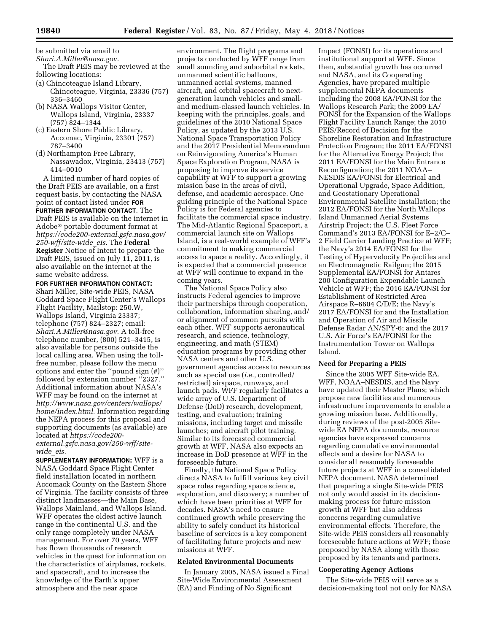be submitted via email to

- *[Shari.A.Miller@nasa.gov.](mailto:Shari.A.Miller@nasa.gov)*  The Draft PEIS may be reviewed at the
- following locations: (a) Chincoteague Island Library, Chincoteague, Virginia, 23336 (757) 336–3460
- (b) NASA Wallops Visitor Center, Wallops Island, Virginia, 23337 (757) 824–1344
- (c) Eastern Shore Public Library, Accomac, Virginia, 23301 (757) 787–3400
- (d) Northampton Free Library, Nassawadox, Virginia, 23413 (757) 414–0010

A limited number of hard copies of the Draft PEIS are available, on a first request basis, by contacting the NASA point of contact listed under **FOR FURTHER INFORMATION CONTACT**. The Draft PEIS is available on the internet in Adobe® portable document format at *[https://code200-external.gsfc.nasa.gov/](https://code200-external.gsfc.nasa.gov/250-wff/site-wide_eis)  [250-wff/site-wide](https://code200-external.gsfc.nasa.gov/250-wff/site-wide_eis)*\_*eis.* The **Federal Register** Notice of Intent to prepare the Draft PEIS, issued on July 11, 2011, is also available on the internet at the same website address.

**FOR FURTHER INFORMATION CONTACT:**  Shari Miller, Site-wide PEIS, NASA Goddard Space Flight Center's Wallops Flight Facility, Mailstop: 250.W, Wallops Island, Virginia 23337; telephone (757) 824–2327; email: *[Shari.A.Miller@nasa.gov.](mailto:Shari.A.Miller@nasa.gov)* A toll-free telephone number, (800) 521–3415, is also available for persons outside the local calling area. When using the tollfree number, please follow the menu options and enter the ''pound sign (#)'' followed by extension number ''2327.'' Additional information about NASA's WFF may be found on the internet at *[http://www.nasa.gov/centers/wallops/](http://www.nasa.gov/centers/wallops/home/index.html)  [home/index.html.](http://www.nasa.gov/centers/wallops/home/index.html)* Information regarding the NEPA process for this proposal and supporting documents (as available) are located at *[https://code200-](https://code200-external.gsfc.nasa.gov/250-wff/site-wide_eis)* 

*[external.gsfc.nasa.gov/250-wff/site](https://code200-external.gsfc.nasa.gov/250-wff/site-wide_eis)[wide](https://code200-external.gsfc.nasa.gov/250-wff/site-wide_eis)*\_*eis.* 

**SUPPLEMENTARY INFORMATION:** WFF is a NASA Goddard Space Flight Center field installation located in northern Accomack County on the Eastern Shore of Virginia. The facility consists of three distinct landmasses—the Main Base, Wallops Mainland, and Wallops Island. WFF operates the oldest active launch range in the continental U.S. and the only range completely under NASA management. For over 70 years, WFF has flown thousands of research vehicles in the quest for information on the characteristics of airplanes, rockets, and spacecraft, and to increase the knowledge of the Earth's upper atmosphere and the near space

environment. The flight programs and projects conducted by WFF range from small sounding and suborbital rockets, unmanned scientific balloons, unmanned aerial systems, manned aircraft, and orbital spacecraft to nextgeneration launch vehicles and smalland medium-classed launch vehicles. In keeping with the principles, goals, and guidelines of the 2010 National Space Policy, as updated by the 2013 U.S. National Space Transportation Policy and the 2017 Presidential Memorandum on Reinvigorating America's Human Space Exploration Program, NASA is proposing to improve its service capability at WFF to support a growing mission base in the areas of civil, defense, and academic aerospace. One guiding principle of the National Space Policy is for Federal agencies to facilitate the commercial space industry. The Mid-Atlantic Regional Spaceport, a commercial launch site on Wallops Island, is a real-world example of WFF's commitment to making commercial access to space a reality. Accordingly, it is expected that a commercial presence at WFF will continue to expand in the coming years.

The National Space Policy also instructs Federal agencies to improve their partnerships through cooperation, collaboration, information sharing, and/ or alignment of common pursuits with each other. WFF supports aeronautical research, and science, technology, engineering, and math (STEM) education programs by providing other NASA centers and other U.S. government agencies access to resources such as special use (*i.e.,* controlled/ restricted) airspace, runways, and launch pads. WFF regularly facilitates a wide array of U.S. Department of Defense (DoD) research, development, testing, and evaluation; training missions, including target and missile launches; and aircraft pilot training. Similar to its forecasted commercial growth at WFF, NASA also expects an increase in DoD presence at WFF in the foreseeable future.

Finally, the National Space Policy directs NASA to fulfill various key civil space roles regarding space science, exploration, and discovery; a number of which have been priorities at WFF for decades. NASA's need to ensure continued growth while preserving the ability to safely conduct its historical baseline of services is a key component of facilitating future projects and new missions at WFF.

## **Related Environmental Documents**

In January 2005, NASA issued a Final Site-Wide Environmental Assessment (EA) and Finding of No Significant

Impact (FONSI) for its operations and institutional support at WFF. Since then, substantial growth has occurred and NASA, and its Cooperating Agencies, have prepared multiple supplemental NEPA documents including the 2008 EA/FONSI for the Wallops Research Park; the 2009 EA/ FONSI for the Expansion of the Wallops Flight Facility Launch Range; the 2010 PEIS/Record of Decision for the Shoreline Restoration and Infrastructure Protection Program; the 2011 EA/FONSI for the Alternative Energy Project; the 2011 EA/FONSI for the Main Entrance Reconfiguration; the 2011 NOAA– NESDIS EA/FONSI for Electrical and Operational Upgrade, Space Addition, and Geostationary Operational Environmental Satellite Installation; the 2012 EA/FONSI for the North Wallops Island Unmanned Aerial Systems Airstrip Project; the U.S. Fleet Force Command's 2013 EA/FONSI for E–2/C– 2 Field Carrier Landing Practice at WFF; the Navy's 2014 EA/FONSI for the Testing of Hypervelocity Projectiles and an Electromagnetic Railgun; the 2015 Supplemental EA/FONSI for Antares 200 Configuration Expendable Launch Vehicle at WFF; the 2016 EA/FONSI for Establishment of Restricted Area Airspace R–6604 C/D/E; the Navy's 2017 EA/FONSI for and the Installation and Operation of Air and Missile Defense Radar AN/SPY-6; and the 2017 U.S. Air Force's EA/FONSI for the Instrumentation Tower on Wallops Island.

#### **Need for Preparing a PEIS**

Since the 2005 WFF Site-wide EA, WFF, NOAA–NESDIS, and the Navy have updated their Master Plans; which propose new facilities and numerous infrastructure improvements to enable a growing mission base. Additionally, during reviews of the post-2005 Sitewide EA NEPA documents, resource agencies have expressed concerns regarding cumulative environmental effects and a desire for NASA to consider all reasonably foreseeable future projects at WFF in a consolidated NEPA document. NASA determined that preparing a single Site-wide PEIS not only would assist in its decisionmaking process for future mission growth at WFF but also address concerns regarding cumulative environmental effects. Therefore, the Site-wide PEIS considers all reasonably foreseeable future actions at WFF; those proposed by NASA along with those proposed by its tenants and partners.

### **Cooperating Agency Actions**

The Site-wide PEIS will serve as a decision-making tool not only for NASA